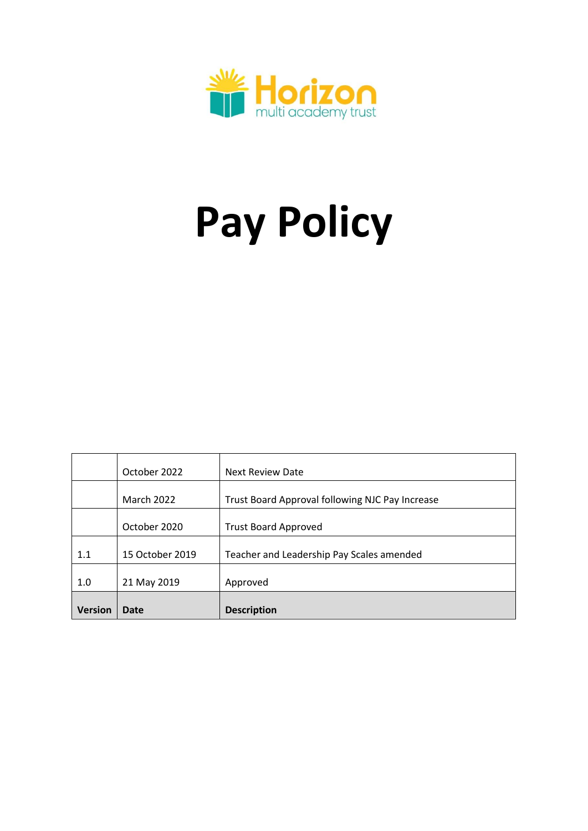

# **Pay Policy**

|                | October 2022      | <b>Next Review Date</b>                         |
|----------------|-------------------|-------------------------------------------------|
|                | <b>March 2022</b> | Trust Board Approval following NJC Pay Increase |
|                | October 2020      | <b>Trust Board Approved</b>                     |
| 1.1            | 15 October 2019   | Teacher and Leadership Pay Scales amended       |
| 1.0            | 21 May 2019       | Approved                                        |
| <b>Version</b> | Date              | <b>Description</b>                              |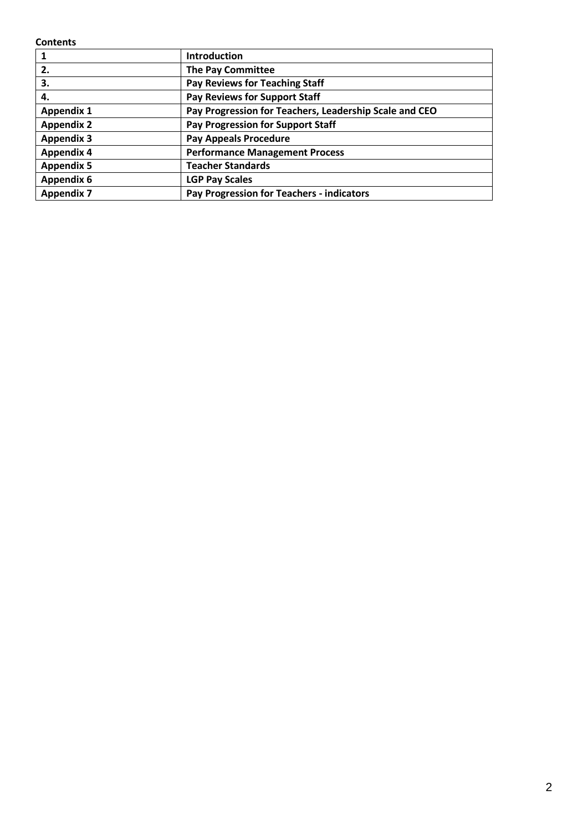**Contents**

|                   | <b>Introduction</b>                                    |
|-------------------|--------------------------------------------------------|
| 2.                | <b>The Pay Committee</b>                               |
| 3.                | Pay Reviews for Teaching Staff                         |
| 4.                | Pay Reviews for Support Staff                          |
| <b>Appendix 1</b> | Pay Progression for Teachers, Leadership Scale and CEO |
| <b>Appendix 2</b> | <b>Pay Progression for Support Staff</b>               |
| <b>Appendix 3</b> | <b>Pay Appeals Procedure</b>                           |
| <b>Appendix 4</b> | <b>Performance Management Process</b>                  |
| <b>Appendix 5</b> | <b>Teacher Standards</b>                               |
| <b>Appendix 6</b> | <b>LGP Pay Scales</b>                                  |
| <b>Appendix 7</b> | Pay Progression for Teachers - indicators              |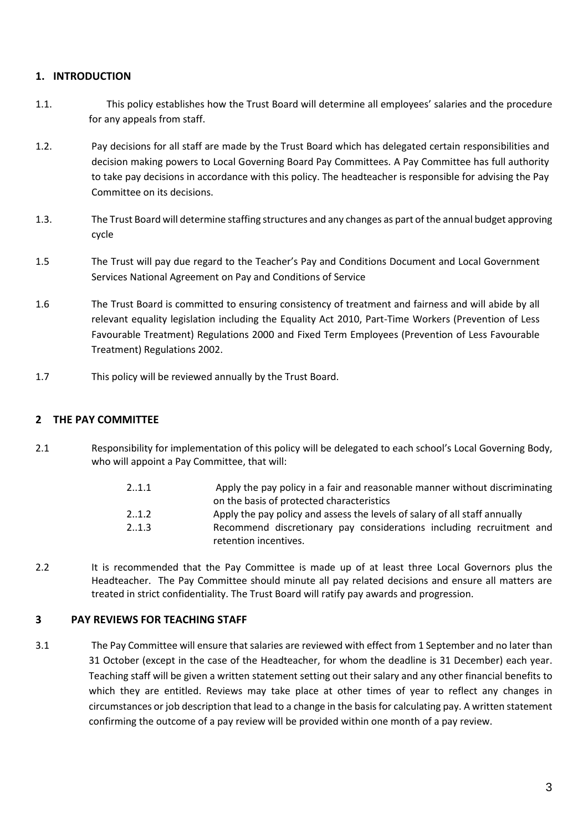# **1. INTRODUCTION**

- 1.1. This policy establishes how the Trust Board will determine all employees' salaries and the procedure for any appeals from staff.
- 1.2. Pay decisions for all staff are made by the Trust Board which has delegated certain responsibilities and decision making powers to Local Governing Board Pay Committees. A Pay Committee has full authority to take pay decisions in accordance with this policy. The headteacher is responsible for advising the Pay Committee on its decisions.
- 1.3. The Trust Board will determine staffing structures and any changes as part of the annual budget approving cycle
- 1.5 The Trust will pay due regard to the Teacher's Pay and Conditions Document and Local Government Services National Agreement on Pay and Conditions of Service
- 1.6 The Trust Board is committed to ensuring consistency of treatment and fairness and will abide by all relevant equality legislation including the Equality Act 2010, Part-Time Workers (Prevention of Less Favourable Treatment) Regulations 2000 and Fixed Term Employees (Prevention of Less Favourable Treatment) Regulations 2002.
- 1.7 This policy will be reviewed annually by the Trust Board.

#### **2 THE PAY COMMITTEE**

2.1 Responsibility for implementation of this policy will be delegated to each school's Local Governing Body, who will appoint a Pay Committee, that will:

| 21.1  | Apply the pay policy in a fair and reasonable manner without discriminating                   |  |  |  |  |
|-------|-----------------------------------------------------------------------------------------------|--|--|--|--|
|       | on the basis of protected characteristics                                                     |  |  |  |  |
| 2.1.2 | Apply the pay policy and assess the levels of salary of all staff annually                    |  |  |  |  |
| 21.3  | Recommend discretionary pay considerations including recruitment and<br>retention incentives. |  |  |  |  |

2.2 It is recommended that the Pay Committee is made up of at least three Local Governors plus the Headteacher. The Pay Committee should minute all pay related decisions and ensure all matters are treated in strict confidentiality. The Trust Board will ratify pay awards and progression.

#### **3 PAY REVIEWS FOR TEACHING STAFF**

3.1 The Pay Committee will ensure that salaries are reviewed with effect from 1 September and no later than 31 October (except in the case of the Headteacher, for whom the deadline is 31 December) each year. Teaching staff will be given a written statement setting out their salary and any other financial benefits to which they are entitled. Reviews may take place at other times of year to reflect any changes in circumstances or job description that lead to a change in the basis for calculating pay. A written statement confirming the outcome of a pay review will be provided within one month of a pay review.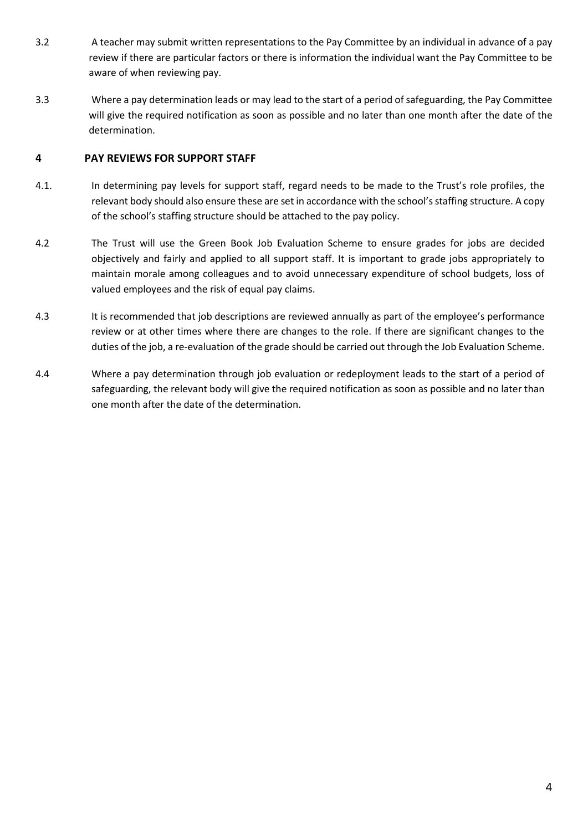- 3.2 A teacher may submit written representations to the Pay Committee by an individual in advance of a pay review if there are particular factors or there is information the individual want the Pay Committee to be aware of when reviewing pay.
- 3.3 Where a pay determination leads or may lead to the start of a period of safeguarding, the Pay Committee will give the required notification as soon as possible and no later than one month after the date of the determination.

# **4 PAY REVIEWS FOR SUPPORT STAFF**

- 4.1. In determining pay levels for support staff, regard needs to be made to the Trust's role profiles, the relevant body should also ensure these are set in accordance with the school's staffing structure. A copy of the school's staffing structure should be attached to the pay policy.
- 4.2 The Trust will use the Green Book Job Evaluation Scheme to ensure grades for jobs are decided objectively and fairly and applied to all support staff. It is important to grade jobs appropriately to maintain morale among colleagues and to avoid unnecessary expenditure of school budgets, loss of valued employees and the risk of equal pay claims.
- 4.3 It is recommended that job descriptions are reviewed annually as part of the employee's performance review or at other times where there are changes to the role. If there are significant changes to the duties of the job, a re-evaluation of the grade should be carried out through the Job Evaluation Scheme.
- 4.4 Where a pay determination through job evaluation or redeployment leads to the start of a period of safeguarding, the relevant body will give the required notification as soon as possible and no later than one month after the date of the determination.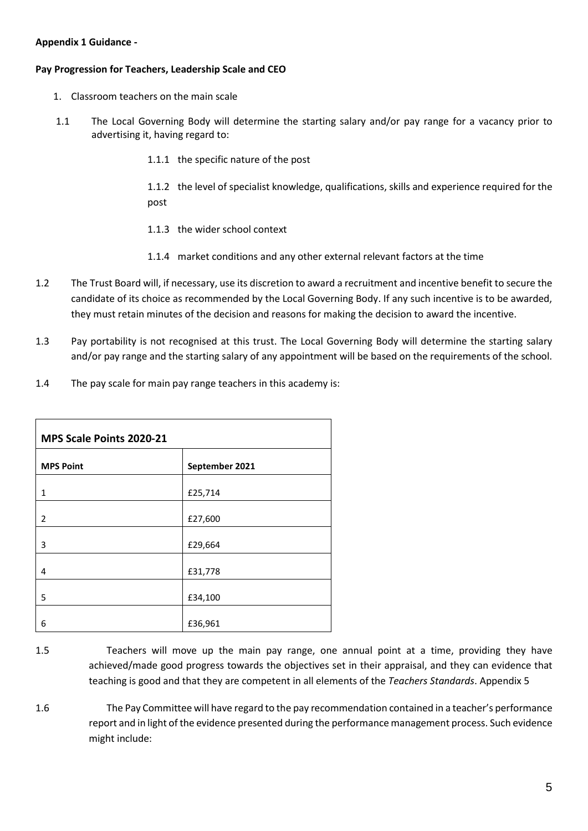#### **Appendix 1 Guidance -**

#### **Pay Progression for Teachers, Leadership Scale and CEO**

- 1. Classroom teachers on the main scale
- 1.1 The Local Governing Body will determine the starting salary and/or pay range for a vacancy prior to advertising it, having regard to:
	- 1.1.1 the specific nature of the post

1.1.2 the level of specialist knowledge, qualifications, skills and experience required for the post

- 1.1.3 the wider school context
- 1.1.4 market conditions and any other external relevant factors at the time
- 1.2 The Trust Board will, if necessary, use its discretion to award a recruitment and incentive benefit to secure the candidate of its choice as recommended by the Local Governing Body. If any such incentive is to be awarded, they must retain minutes of the decision and reasons for making the decision to award the incentive.
- 1.3 Pay portability is not recognised at this trust. The Local Governing Body will determine the starting salary and/or pay range and the starting salary of any appointment will be based on the requirements of the school.
- 1.4 The pay scale for main pay range teachers in this academy is:

| MPS Scale Points 2020-21 |                |  |  |  |
|--------------------------|----------------|--|--|--|
| <b>MPS Point</b>         | September 2021 |  |  |  |
| 1                        | £25,714        |  |  |  |
| 2                        | £27,600        |  |  |  |
| 3                        | £29,664        |  |  |  |
| 4                        | £31,778        |  |  |  |
| 5                        | £34,100        |  |  |  |
| 6                        | £36,961        |  |  |  |

- 1.5 Teachers will move up the main pay range, one annual point at a time, providing they have achieved/made good progress towards the objectives set in their appraisal, and they can evidence that teaching is good and that they are competent in all elements of the *Teachers Standards*. Appendix 5
- 1.6 The Pay Committee will have regard to the pay recommendation contained in a teacher's performance report and in light of the evidence presented during the performance management process. Such evidence might include: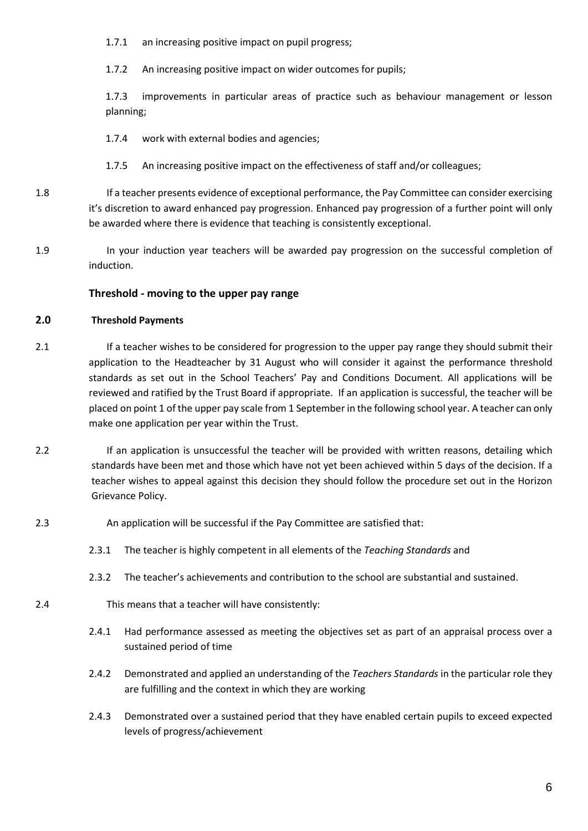1.7.1 an increasing positive impact on pupil progress;

1.7.2 An increasing positive impact on wider outcomes for pupils;

1.7.3 improvements in particular areas of practice such as behaviour management or lesson planning;

1.7.4 work with external bodies and agencies;

- 1.7.5 An increasing positive impact on the effectiveness of staff and/or colleagues;
- 1.8 If a teacher presents evidence of exceptional performance, the Pay Committee can consider exercising it's discretion to award enhanced pay progression. Enhanced pay progression of a further point will only be awarded where there is evidence that teaching is consistently exceptional.
- 1.9 In your induction year teachers will be awarded pay progression on the successful completion of induction.

#### **Threshold - moving to the upper pay range**

#### **2.0 Threshold Payments**

- 2.1 If a teacher wishes to be considered for progression to the upper pay range they should submit their application to the Headteacher by 31 August who will consider it against the performance threshold standards as set out in the School Teachers' Pay and Conditions Document. All applications will be reviewed and ratified by the Trust Board if appropriate. If an application is successful, the teacher will be placed on point 1 of the upper pay scale from 1 September in the following school year. A teacher can only make one application per year within the Trust.
- 2.2 If an application is unsuccessful the teacher will be provided with written reasons, detailing which standards have been met and those which have not yet been achieved within 5 days of the decision. If a teacher wishes to appeal against this decision they should follow the procedure set out in the Horizon Grievance Policy.
- 2.3 An application will be successful if the Pay Committee are satisfied that:
	- 2.3.1 The teacher is highly competent in all elements of the *Teaching Standards* and
	- 2.3.2 The teacher's achievements and contribution to the school are substantial and sustained.
- 2.4 This means that a teacher will have consistently:
	- 2.4.1 Had performance assessed as meeting the objectives set as part of an appraisal process over a sustained period of time
	- 2.4.2 Demonstrated and applied an understanding of the *Teachers Standards* in the particular role they are fulfilling and the context in which they are working
	- 2.4.3 Demonstrated over a sustained period that they have enabled certain pupils to exceed expected levels of progress/achievement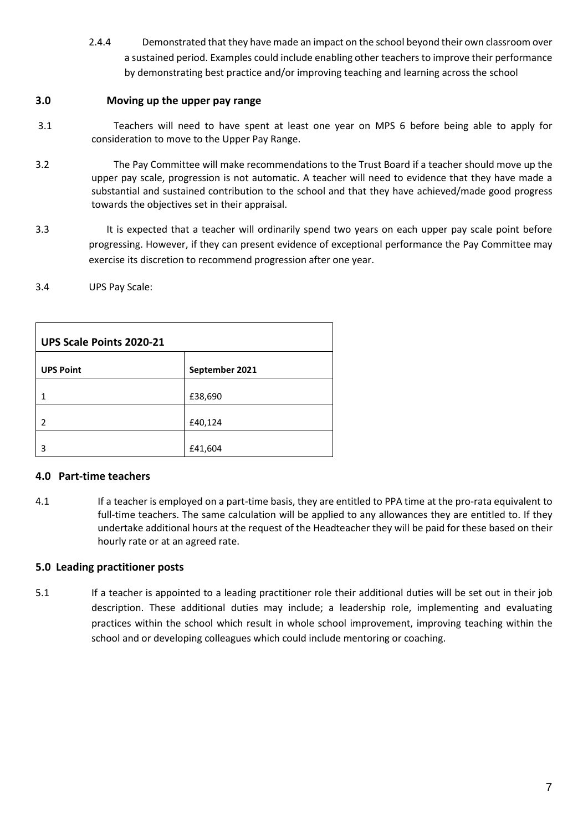2.4.4 Demonstrated that they have made an impact on the school beyond their own classroom over a sustained period. Examples could include enabling other teachers to improve their performance by demonstrating best practice and/or improving teaching and learning across the school

# **3.0 Moving up the upper pay range**

- 3.1Teachers will need to have spent at least one year on MPS 6 before being able to apply for consideration to move to the Upper Pay Range.
- 3.2 The Pay Committee will make recommendations to the Trust Board if a teacher should move up the upper pay scale, progression is not automatic. A teacher will need to evidence that they have made a substantial and sustained contribution to the school and that they have achieved/made good progress towards the objectives set in their appraisal.
- 3.3 It is expected that a teacher will ordinarily spend two years on each upper pay scale point before progressing. However, if they can present evidence of exceptional performance the Pay Committee may exercise its discretion to recommend progression after one year.

#### 3.4 UPS Pay Scale:

| UPS Scale Points 2020-21 |                |  |  |  |
|--------------------------|----------------|--|--|--|
| <b>UPS Point</b>         | September 2021 |  |  |  |
|                          | £38,690        |  |  |  |
| $\mathcal{P}$            | £40,124        |  |  |  |
| 3                        | £41,604        |  |  |  |

# **4.0 Part-time teachers**

4.1 If a teacher is employed on a part-time basis, they are entitled to PPA time at the pro-rata equivalent to full-time teachers. The same calculation will be applied to any allowances they are entitled to. If they undertake additional hours at the request of the Headteacher they will be paid for these based on their hourly rate or at an agreed rate.

#### **5.0 Leading practitioner posts**

5.1 If a teacher is appointed to a leading practitioner role their additional duties will be set out in their job description. These additional duties may include; a leadership role, implementing and evaluating practices within the school which result in whole school improvement, improving teaching within the school and or developing colleagues which could include mentoring or coaching.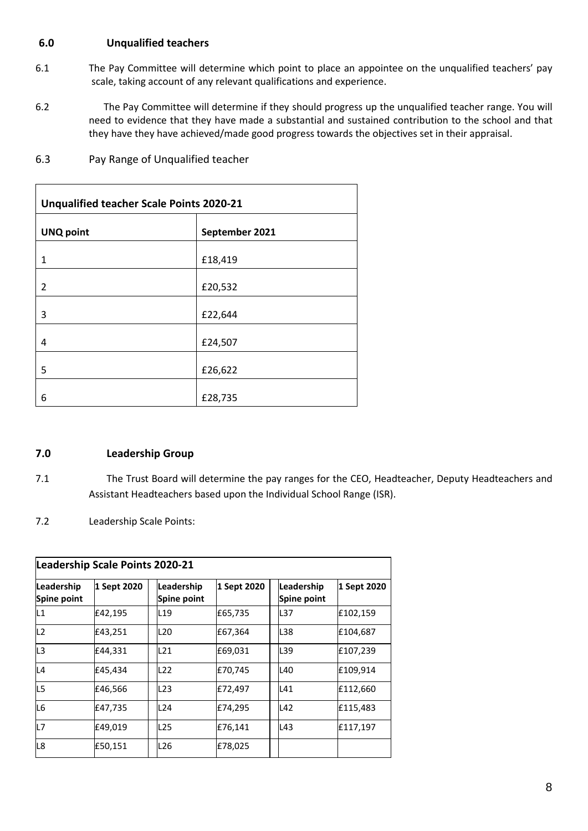# **6.0 Unqualified teachers**

- 6.1 The Pay Committee will determine which point to place an appointee on the unqualified teachers' pay scale, taking account of any relevant qualifications and experience.
- 6.2 The Pay Committee will determine if they should progress up the unqualified teacher range. You will need to evidence that they have made a substantial and sustained contribution to the school and that they have they have achieved/made good progress towards the objectives set in their appraisal.

| <b>Unqualified teacher Scale Points 2020-21</b> |                |  |  |  |
|-------------------------------------------------|----------------|--|--|--|
| <b>UNQ point</b>                                | September 2021 |  |  |  |
| 1                                               | £18,419        |  |  |  |
| 2                                               | £20,532        |  |  |  |
| 3                                               | £22,644        |  |  |  |
| 4                                               | £24,507        |  |  |  |
| 5                                               | £26,622        |  |  |  |
| 6                                               | £28,735        |  |  |  |

6.3 Pay Range of Unqualified teacher

# **7.0 Leadership Group**

- 7.1 The Trust Board will determine the pay ranges for the CEO, Headteacher, Deputy Headteachers and Assistant Headteachers based upon the Individual School Range (ISR).
- 7.2 Leadership Scale Points:

| Leadership Scale Points 2020-21 |             |                           |             |                           |             |  |  |
|---------------------------------|-------------|---------------------------|-------------|---------------------------|-------------|--|--|
| Leadership<br>Spine point       | 1 Sept 2020 | Leadership<br>Spine point | 1 Sept 2020 | Leadership<br>Spine point | 1 Sept 2020 |  |  |
| L1                              | £42,195     | L19                       | £65,735     | IL37                      | £102,159    |  |  |
| L <sub>2</sub>                  | £43,251     | L <sub>20</sub>           | £67,364     | L38                       | £104,687    |  |  |
| L3                              | £44,331     | L21                       | £69,031     | L39                       | £107,239    |  |  |
| L4                              | £45,434     | L22                       | £70,745     | L40                       | £109,914    |  |  |
| L5                              | £46,566     | L23                       | £72,497     | L41                       | £112,660    |  |  |
| L6                              | £47,735     | L24                       | £74,295     | L42                       | £115,483    |  |  |
| L7                              | £49,019     | L <sub>25</sub>           | £76,141     | L43                       | £117,197    |  |  |
| L8                              | £50,151     | L26                       | £78,025     |                           |             |  |  |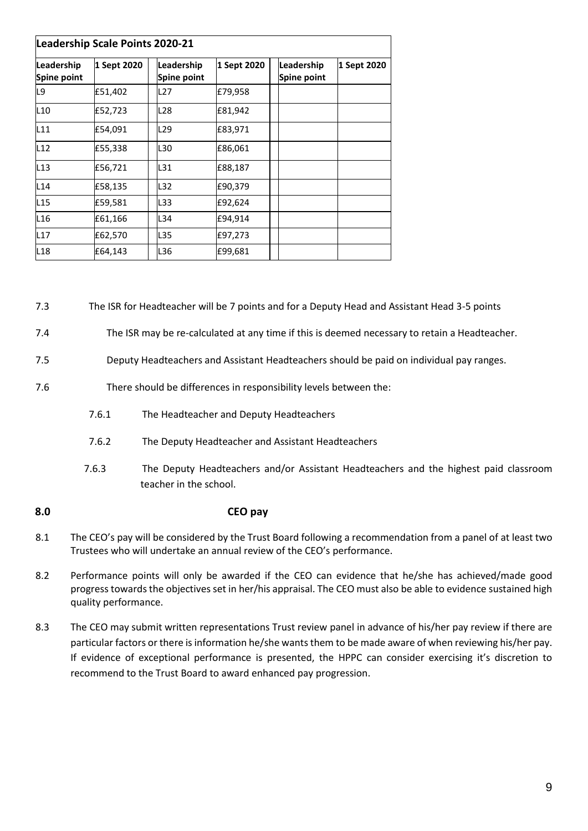| Leadership Scale Points 2020-21 |             |                           |             |                           |             |  |  |
|---------------------------------|-------------|---------------------------|-------------|---------------------------|-------------|--|--|
| Leadership<br>Spine point       | 1 Sept 2020 | Leadership<br>Spine point | 1 Sept 2020 | Leadership<br>Spine point | 1 Sept 2020 |  |  |
| L9                              | £51,402     | L27                       | £79,958     |                           |             |  |  |
| L10                             | £52,723     | L28                       | £81,942     |                           |             |  |  |
| L11                             | £54,091     | L <sub>29</sub>           | £83,971     |                           |             |  |  |
| L12                             | £55,338     | L30                       | £86,061     |                           |             |  |  |
| L13                             | £56,721     | L31                       | £88,187     |                           |             |  |  |
| L14                             | £58,135     | L32                       | £90,379     |                           |             |  |  |
| L <sub>15</sub>                 | £59,581     | L33                       | £92,624     |                           |             |  |  |
| L <sub>16</sub>                 | £61,166     | L34                       | £94,914     |                           |             |  |  |
| L17                             | £62,570     | L35                       | £97,273     |                           |             |  |  |
| L18                             | £64,143     | L36                       | £99,681     |                           |             |  |  |

7.3 The ISR for Headteacher will be 7 points and for a Deputy Head and Assistant Head 3-5 points

7.4 The ISR may be re-calculated at any time if this is deemed necessary to retain a Headteacher.

- 7.5 Deputy Headteachers and Assistant Headteachers should be paid on individual pay ranges.
- 7.6 There should be differences in responsibility levels between the:
	- 7.6.1 The Headteacher and Deputy Headteachers
	- 7.6.2 The Deputy Headteacher and Assistant Headteachers
	- 7.6.3 The Deputy Headteachers and/or Assistant Headteachers and the highest paid classroom teacher in the school.

#### **8.0 CEO pay**

- 8.1 The CEO's pay will be considered by the Trust Board following a recommendation from a panel of at least two Trustees who will undertake an annual review of the CEO's performance.
- 8.2 Performance points will only be awarded if the CEO can evidence that he/she has achieved/made good progress towards the objectives set in her/his appraisal. The CEO must also be able to evidence sustained high quality performance.
- 8.3 The CEO may submit written representations Trust review panel in advance of his/her pay review if there are particular factors or there is information he/she wants them to be made aware of when reviewing his/her pay. If evidence of exceptional performance is presented, the HPPC can consider exercising it's discretion to recommend to the Trust Board to award enhanced pay progression.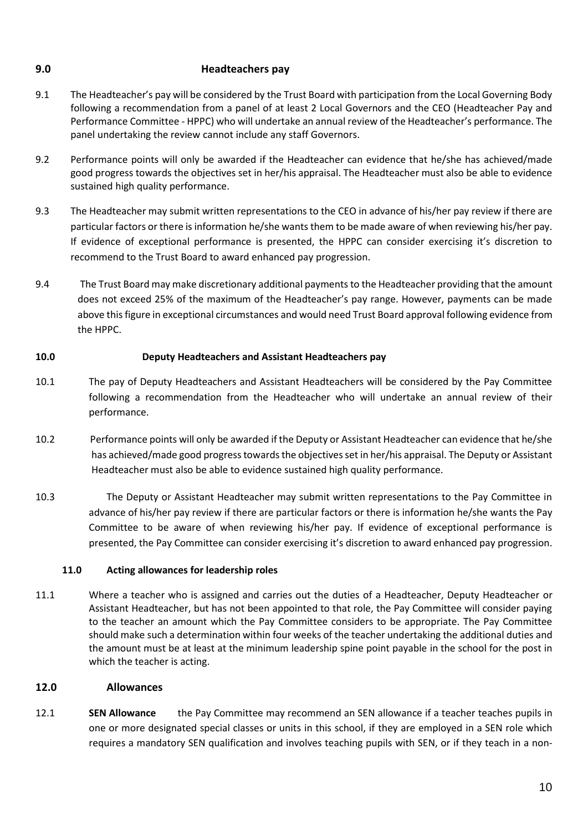# **9.0 Headteachers pay**

- 9.1 The Headteacher's pay will be considered by the Trust Board with participation from the Local Governing Body following a recommendation from a panel of at least 2 Local Governors and the CEO (Headteacher Pay and Performance Committee - HPPC) who will undertake an annual review of the Headteacher's performance. The panel undertaking the review cannot include any staff Governors.
- 9.2 Performance points will only be awarded if the Headteacher can evidence that he/she has achieved/made good progress towards the objectives set in her/his appraisal. The Headteacher must also be able to evidence sustained high quality performance.
- 9.3 The Headteacher may submit written representations to the CEO in advance of his/her pay review if there are particular factors or there is information he/she wants them to be made aware of when reviewing his/her pay. If evidence of exceptional performance is presented, the HPPC can consider exercising it's discretion to recommend to the Trust Board to award enhanced pay progression.
- 9.4 The Trust Board may make discretionary additional payments to the Headteacher providing that the amount does not exceed 25% of the maximum of the Headteacher's pay range. However, payments can be made above this figure in exceptional circumstances and would need Trust Board approval following evidence from the HPPC.

#### **10.0 Deputy Headteachers and Assistant Headteachers pay**

- 10.1 The pay of Deputy Headteachers and Assistant Headteachers will be considered by the Pay Committee following a recommendation from the Headteacher who will undertake an annual review of their performance.
- 10.2 Performance points will only be awarded if the Deputy or Assistant Headteacher can evidence that he/she has achieved/made good progress towards the objectives set in her/his appraisal. The Deputy or Assistant Headteacher must also be able to evidence sustained high quality performance.
- 10.3 The Deputy or Assistant Headteacher may submit written representations to the Pay Committee in advance of his/her pay review if there are particular factors or there is information he/she wants the Pay Committee to be aware of when reviewing his/her pay. If evidence of exceptional performance is presented, the Pay Committee can consider exercising it's discretion to award enhanced pay progression.

#### **11.0 Acting allowances for leadership roles**

11.1 Where a teacher who is assigned and carries out the duties of a Headteacher, Deputy Headteacher or Assistant Headteacher, but has not been appointed to that role, the Pay Committee will consider paying to the teacher an amount which the Pay Committee considers to be appropriate. The Pay Committee should make such a determination within four weeks of the teacher undertaking the additional duties and the amount must be at least at the minimum leadership spine point payable in the school for the post in which the teacher is acting.

# **12.0 Allowances**

12.1 **SEN Allowance** the Pay Committee may recommend an SEN allowance if a teacher teaches pupils in one or more designated special classes or units in this school, if they are employed in a SEN role which requires a mandatory SEN qualification and involves teaching pupils with SEN, or if they teach in a non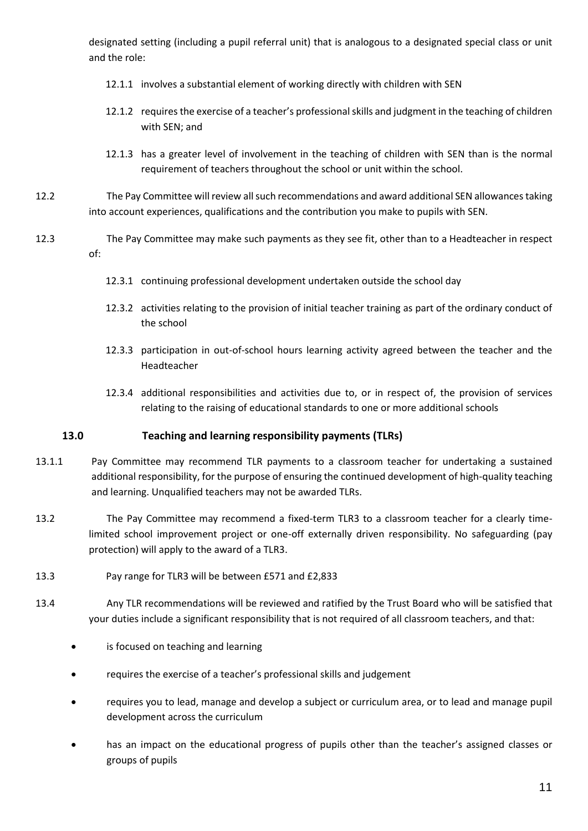designated setting (including a pupil referral unit) that is analogous to a designated special class or unit and the role:

- 12.1.1 involves a substantial element of working directly with children with SEN
- 12.1.2 requires the exercise of a teacher's professional skills and judgment in the teaching of children with SEN; and
- 12.1.3 has a greater level of involvement in the teaching of children with SEN than is the normal requirement of teachers throughout the school or unit within the school.
- 12.2 The Pay Committee will review all such recommendations and award additional SEN allowances taking into account experiences, qualifications and the contribution you make to pupils with SEN.
- 12.3 The Pay Committee may make such payments as they see fit, other than to a Headteacher in respect of:
	- 12.3.1 continuing professional development undertaken outside the school day
	- 12.3.2 activities relating to the provision of initial teacher training as part of the ordinary conduct of the school
	- 12.3.3 participation in out-of-school hours learning activity agreed between the teacher and the Headteacher
	- 12.3.4 additional responsibilities and activities due to, or in respect of, the provision of services relating to the raising of educational standards to one or more additional schools

# **13.0 Teaching and learning responsibility payments (TLRs)**

- 13.1.1 Pay Committee may recommend TLR payments to a classroom teacher for undertaking a sustained additional responsibility, for the purpose of ensuring the continued development of high-quality teaching and learning. Unqualified teachers may not be awarded TLRs.
- 13.2 The Pay Committee may recommend a fixed-term TLR3 to a classroom teacher for a clearly timelimited school improvement project or one-off externally driven responsibility. No safeguarding (pay protection) will apply to the award of a TLR3.
- 13.3 Pay range for TLR3 will be between £571 and £2,833
- 13.4 Any TLR recommendations will be reviewed and ratified by the Trust Board who will be satisfied that your duties include a significant responsibility that is not required of all classroom teachers, and that:
	- is focused on teaching and learning
	- requires the exercise of a teacher's professional skills and judgement
	- requires you to lead, manage and develop a subject or curriculum area, or to lead and manage pupil development across the curriculum
	- has an impact on the educational progress of pupils other than the teacher's assigned classes or groups of pupils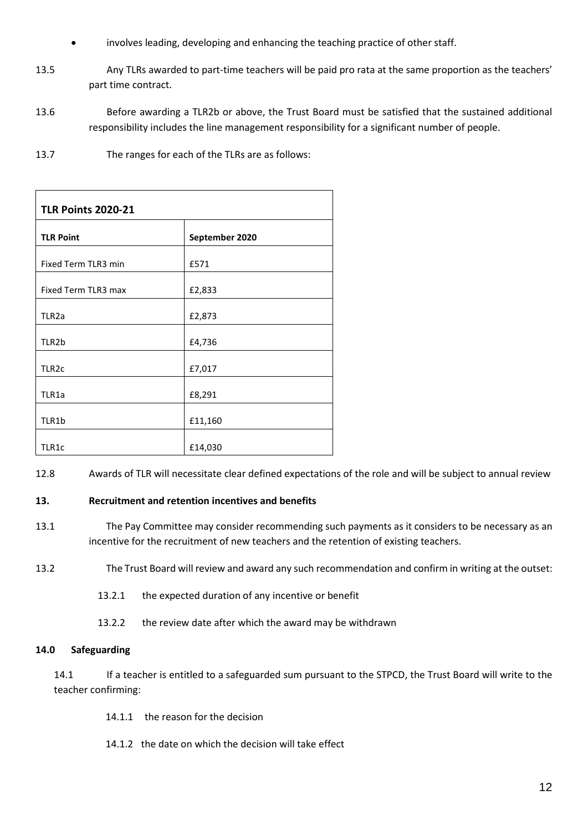- involves leading, developing and enhancing the teaching practice of other staff.
- 13.5 Any TLRs awarded to part-time teachers will be paid pro rata at the same proportion as the teachers' part time contract.
- 13.6 Before awarding a TLR2b or above, the Trust Board must be satisfied that the sustained additional responsibility includes the line management responsibility for a significant number of people.
- 13.7 The ranges for each of the TLRs are as follows:

| <b>TLR Points 2020-21</b> |                |  |  |  |
|---------------------------|----------------|--|--|--|
| <b>TLR Point</b>          | September 2020 |  |  |  |
| Fixed Term TLR3 min       | £571           |  |  |  |
| Fixed Term TLR3 max       | £2,833         |  |  |  |
| TLR <sub>2a</sub>         | £2,873         |  |  |  |
| TLR2b                     | £4,736         |  |  |  |
| TLR <sub>2c</sub>         | £7,017         |  |  |  |
| TLR1a                     | £8,291         |  |  |  |
| TLR1b                     | £11,160        |  |  |  |
| TLR1c                     | £14,030        |  |  |  |

12.8 Awards of TLR will necessitate clear defined expectations of the role and will be subject to annual review

#### **13. Recruitment and retention incentives and benefits**

- 13.1 The Pay Committee may consider recommending such payments as it considers to be necessary as an incentive for the recruitment of new teachers and the retention of existing teachers.
- 13.2 The Trust Board will review and award any such recommendation and confirm in writing at the outset:
	- 13.2.1 the expected duration of any incentive or benefit
	- 13.2.2 the review date after which the award may be withdrawn

#### **14.0 Safeguarding**

14.1 If a teacher is entitled to a safeguarded sum pursuant to the STPCD, the Trust Board will write to the teacher confirming:

- 14.1.1 the reason for the decision
- 14.1.2 the date on which the decision will take effect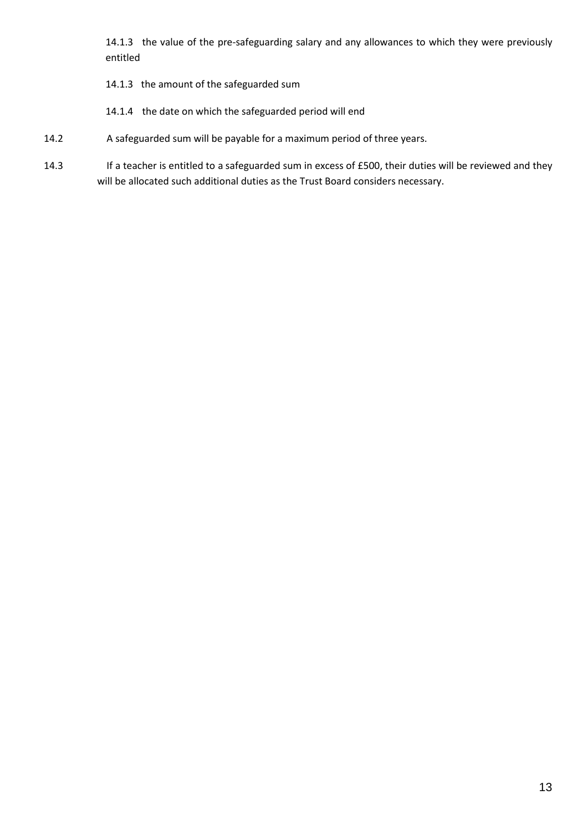14.1.3 the value of the pre-safeguarding salary and any allowances to which they were previously entitled

- 14.1.3 the amount of the safeguarded sum
- 14.1.4 the date on which the safeguarded period will end
- 14.2 A safeguarded sum will be payable for a maximum period of three years.
- 14.3 If a teacher is entitled to a safeguarded sum in excess of £500, their duties will be reviewed and they will be allocated such additional duties as the Trust Board considers necessary.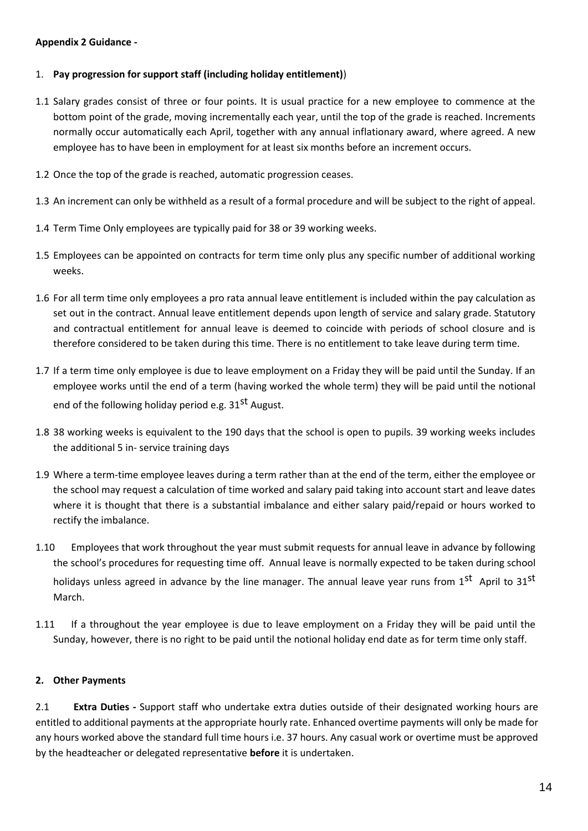#### **Appendix 2 Guidance -**

#### 1. **Pay progression for support staff (including holiday entitlement)**)

- 1.1 Salary grades consist of three or four points. It is usual practice for a new employee to commence at the bottom point of the grade, moving incrementally each year, until the top of the grade is reached. Increments normally occur automatically each April, together with any annual inflationary award, where agreed. A new employee has to have been in employment for at least six months before an increment occurs.
- 1.2 Once the top of the grade is reached, automatic progression ceases.
- 1.3 An increment can only be withheld as a result of a formal procedure and will be subject to the right of appeal.
- 1.4 Term Time Only employees are typically paid for 38 or 39 working weeks.
- 1.5 Employees can be appointed on contracts for term time only plus any specific number of additional working weeks.
- 1.6 For all term time only employees a pro rata annual leave entitlement is included within the pay calculation as set out in the contract. Annual leave entitlement depends upon length of service and salary grade. Statutory and contractual entitlement for annual leave is deemed to coincide with periods of school closure and is therefore considered to be taken during this time. There is no entitlement to take leave during term time.
- 1.7 If a term time only employee is due to leave employment on a Friday they will be paid until the Sunday. If an employee works until the end of a term (having worked the whole term) they will be paid until the notional end of the following holiday period e.g.  $31<sup>st</sup>$  August.
- 1.8 38 working weeks is equivalent to the 190 days that the school is open to pupils. 39 working weeks includes the additional 5 in- service training days
- 1.9 Where a term-time employee leaves during a term rather than at the end of the term, either the employee or the school may request a calculation of time worked and salary paid taking into account start and leave dates where it is thought that there is a substantial imbalance and either salary paid/repaid or hours worked to rectify the imbalance.
- 1.10 Employees that work throughout the year must submit requests for annual leave in advance by following the school's procedures for requesting time off. Annual leave is normally expected to be taken during school holidays unless agreed in advance by the line manager. The annual leave year runs from 1<sup>st</sup> April to 31<sup>st</sup> March.
- 1.11 If a throughout the year employee is due to leave employment on a Friday they will be paid until the Sunday, however, there is no right to be paid until the notional holiday end date as for term time only staff.

#### **2. Other Payments**

2.1 **Extra Duties -** Support staff who undertake extra duties outside of their designated working hours are entitled to additional payments at the appropriate hourly rate. Enhanced overtime payments will only be made for any hours worked above the standard full time hours i.e. 37 hours. Any casual work or overtime must be approved by the headteacher or delegated representative **before** it is undertaken.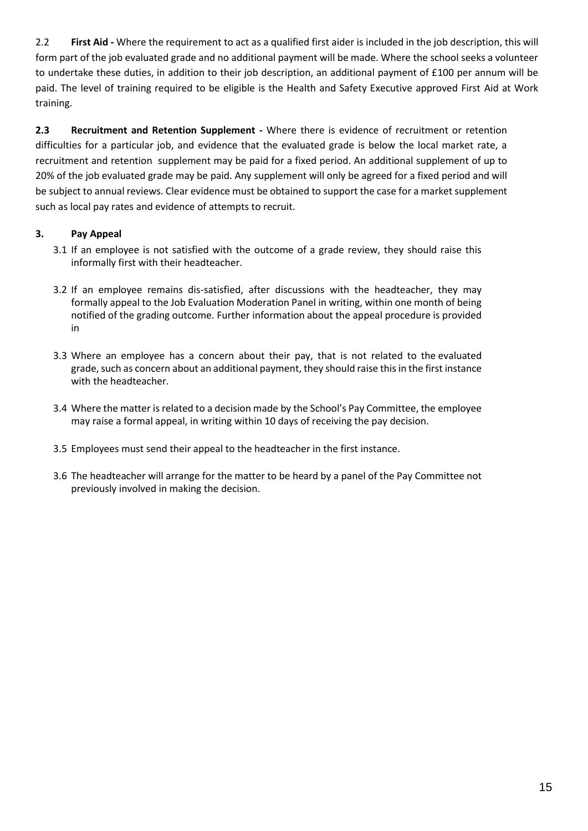2.2 **First Aid -** Where the requirement to act as a qualified first aider is included in the job description, this will form part of the job evaluated grade and no additional payment will be made. Where the school seeks a volunteer to undertake these duties, in addition to their job description, an additional payment of £100 per annum will be paid. The level of training required to be eligible is the Health and Safety Executive approved First Aid at Work training.

**2.3 Recruitment and Retention Supplement -** Where there is evidence of recruitment or retention difficulties for a particular job, and evidence that the evaluated grade is below the local market rate, a [recruitment and retention supplement may be paid for a fixed period. An additional supplement of up to](http://portal.oxfordshire.gov.uk/content/public/LandC/Resources/HumanResources/schoolemployees/Recruitment_Retention_Supplements_Schoolsport%20Staff.pdf) 20% of the job evaluated grade may be paid. Any supplement will only be agreed for a fixed period and will be subject to annual reviews. Clear evidence must be obtained to support the case for a market supplement such as local pay rates and evidence of attempts to recruit.

# **3. Pay Appeal**

- 3.1 If an employee is not satisfied with the outcome of a grade review, they should raise this informally first with their headteacher.
- 3.2 If an employee remains dis-satisfied, after discussions with the headteacher, they may formally appeal to the Job Evaluation Moderation Panel in writing, within one month of being notified of the grading outcome. Further information about the appeal procedure is provided in
- 3.3 Where an employee has a concern about their pay, that is not related to the evaluated grade, such as concern about an additional payment, they should raise this in the first instance with the headteacher.
- 3.4 Where the matter is related to a decision made by the School's Pay Committee, the employee may raise a formal appeal, in writing within 10 days of receiving the pay decision.
- 3.5 Employees must send their appeal to the headteacher in the first instance.
- 3.6 The headteacher will arrange for the matter to be heard by a panel of the Pay Committee not previously involved in making the decision.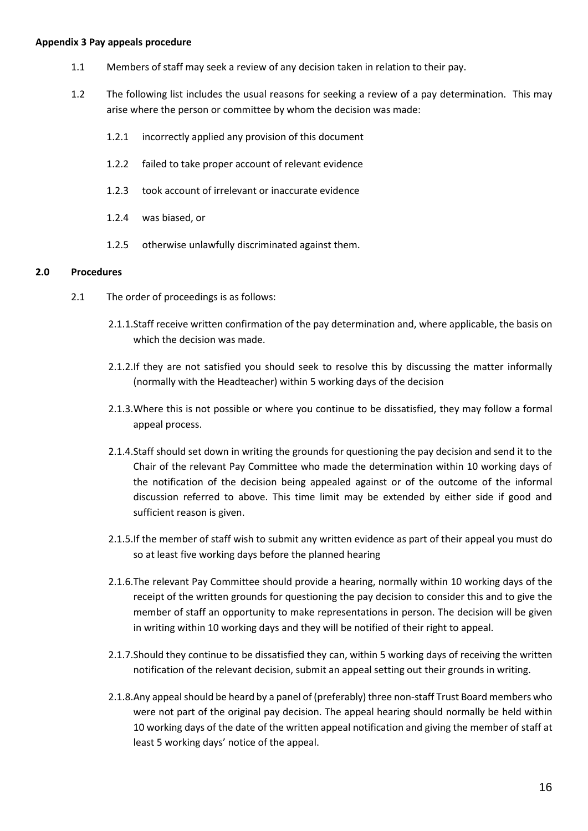#### **Appendix 3 Pay appeals procedure**

- 1.1 Members of staff may seek a review of any decision taken in relation to their pay.
- 1.2 The following list includes the usual reasons for seeking a review of a pay determination. This may arise where the person or committee by whom the decision was made:
	- 1.2.1 incorrectly applied any provision of this document
	- 1.2.2 failed to take proper account of relevant evidence
	- 1.2.3 took account of irrelevant or inaccurate evidence
	- 1.2.4 was biased, or
	- 1.2.5 otherwise unlawfully discriminated against them.

#### **2.0 Procedures**

- 2.1 The order of proceedings is as follows:
	- 2.1.1.Staff receive written confirmation of the pay determination and, where applicable, the basis on which the decision was made.
	- 2.1.2.If they are not satisfied you should seek to resolve this by discussing the matter informally (normally with the Headteacher) within 5 working days of the decision
	- 2.1.3.Where this is not possible or where you continue to be dissatisfied, they may follow a formal appeal process.
	- 2.1.4.Staff should set down in writing the grounds for questioning the pay decision and send it to the Chair of the relevant Pay Committee who made the determination within 10 working days of the notification of the decision being appealed against or of the outcome of the informal discussion referred to above. This time limit may be extended by either side if good and sufficient reason is given.
	- 2.1.5.If the member of staff wish to submit any written evidence as part of their appeal you must do so at least five working days before the planned hearing
	- 2.1.6.The relevant Pay Committee should provide a hearing, normally within 10 working days of the receipt of the written grounds for questioning the pay decision to consider this and to give the member of staff an opportunity to make representations in person. The decision will be given in writing within 10 working days and they will be notified of their right to appeal.
	- 2.1.7.Should they continue to be dissatisfied they can, within 5 working days of receiving the written notification of the relevant decision, submit an appeal setting out their grounds in writing.
	- 2.1.8.Any appeal should be heard by a panel of (preferably) three non-staff Trust Board members who were not part of the original pay decision. The appeal hearing should normally be held within 10 working days of the date of the written appeal notification and giving the member of staff at least 5 working days' notice of the appeal.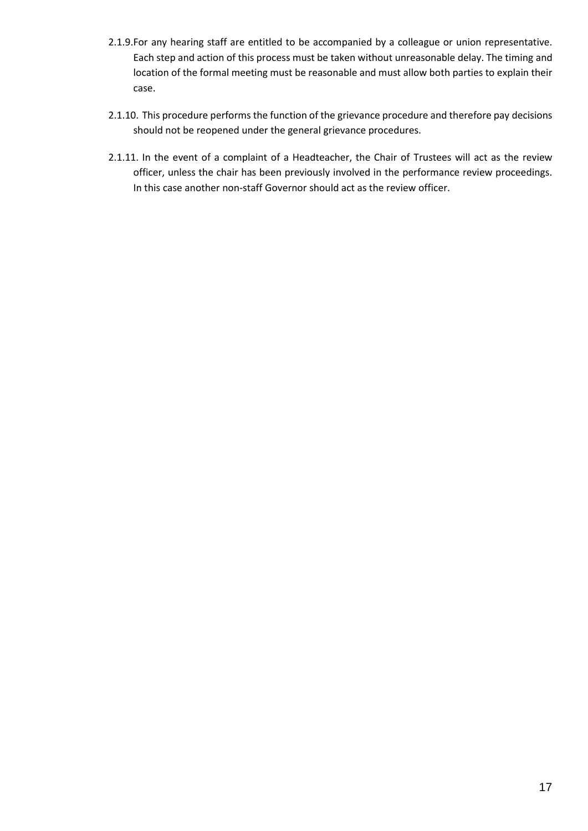- 2.1.9.For any hearing staff are entitled to be accompanied by a colleague or union representative. Each step and action of this process must be taken without unreasonable delay. The timing and location of the formal meeting must be reasonable and must allow both parties to explain their case.
- 2.1.10. This procedure performs the function of the grievance procedure and therefore pay decisions should not be reopened under the general grievance procedures.
- 2.1.11. In the event of a complaint of a Headteacher, the Chair of Trustees will act as the review officer, unless the chair has been previously involved in the performance review proceedings. In this case another non-staff Governor should act as the review officer.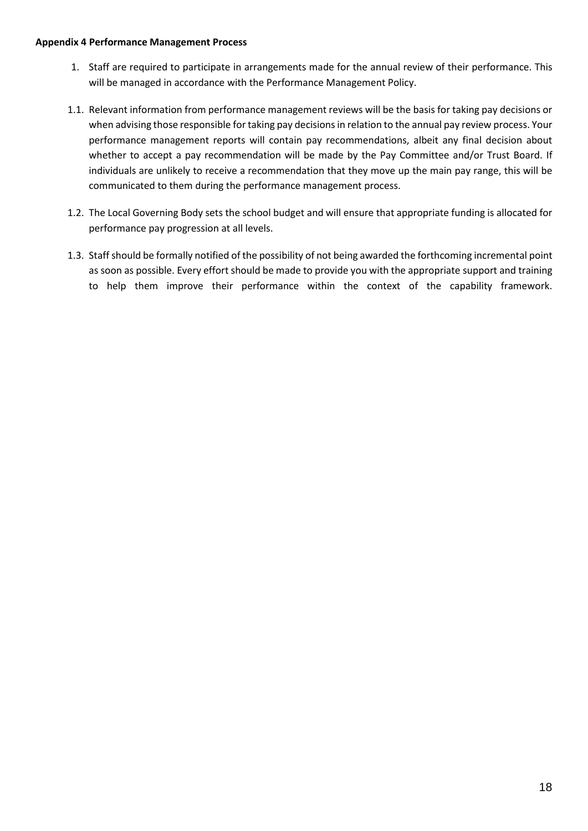#### **Appendix 4 Performance Management Process**

- 1. Staff are required to participate in arrangements made for the annual review of their performance. This will be managed in accordance with the Performance Management Policy.
- 1.1. Relevant information from performance management reviews will be the basis for taking pay decisions or when advising those responsible for taking pay decisions in relation to the annual pay review process. Your performance management reports will contain pay recommendations, albeit any final decision about whether to accept a pay recommendation will be made by the Pay Committee and/or Trust Board. If individuals are unlikely to receive a recommendation that they move up the main pay range, this will be communicated to them during the performance management process.
- 1.2. The Local Governing Body sets the school budget and will ensure that appropriate funding is allocated for performance pay progression at all levels.
- 1.3. Staffshould be formally notified of the possibility of not being awarded the forthcoming incremental point as soon as possible. Every effort should be made to provide you with the appropriate support and training to help them improve their performance within the context of the capability framework.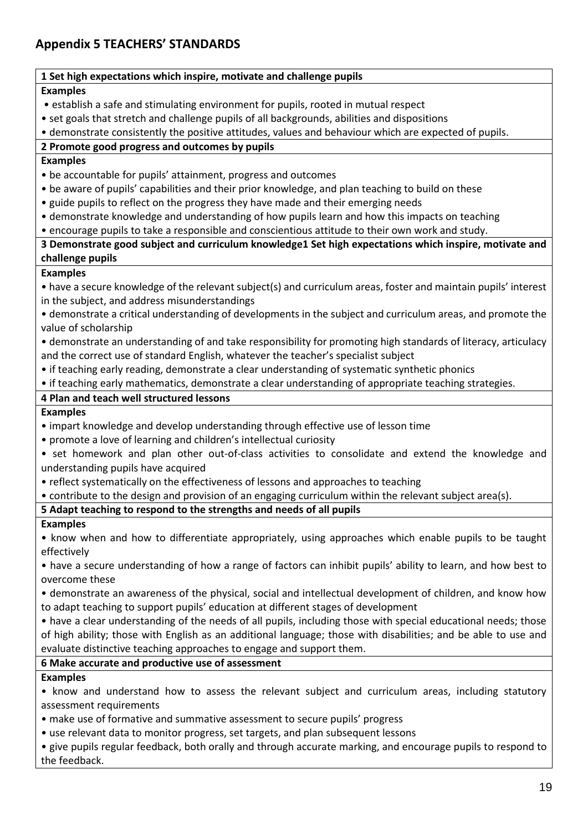# **Appendix 5 TEACHERS' STANDARDS**

| 1 Set high expectations which inspire, motivate and challenge pupils                                            |
|-----------------------------------------------------------------------------------------------------------------|
| <b>Examples</b>                                                                                                 |
| • establish a safe and stimulating environment for pupils, rooted in mutual respect                             |
| • set goals that stretch and challenge pupils of all backgrounds, abilities and dispositions                    |
| • demonstrate consistently the positive attitudes, values and behaviour which are expected of pupils.           |
| 2 Promote good progress and outcomes by pupils                                                                  |
| <b>Examples</b>                                                                                                 |
| • be accountable for pupils' attainment, progress and outcomes                                                  |
| • be aware of pupils' capabilities and their prior knowledge, and plan teaching to build on these               |
| • guide pupils to reflect on the progress they have made and their emerging needs                               |
| • demonstrate knowledge and understanding of how pupils learn and how this impacts on teaching                  |
| • encourage pupils to take a responsible and conscientious attitude to their own work and study.                |
| 3 Demonstrate good subject and curriculum knowledge1 Set high expectations which inspire, motivate and          |
| challenge pupils                                                                                                |
| <b>Examples</b>                                                                                                 |
| • have a secure knowledge of the relevant subject(s) and curriculum areas, foster and maintain pupils' interest |
| in the subject, and address misunderstandings                                                                   |
| • demonstrate a critical understanding of developments in the subject and curriculum areas, and promote the     |
| value of scholarship                                                                                            |
| • demonstrate an understanding of and take responsibility for promoting high standards of literacy, articulacy  |
| and the correct use of standard English, whatever the teacher's specialist subject                              |
| • if teaching early reading, demonstrate a clear understanding of systematic synthetic phonics                  |
| • if teaching early mathematics, demonstrate a clear understanding of appropriate teaching strategies.          |
| 4 Plan and teach well structured lessons                                                                        |
| <b>Examples</b>                                                                                                 |
| • impart knowledge and develop understanding through effective use of lesson time                               |
| • promote a love of learning and children's intellectual curiosity                                              |
| • set homework and plan other out-of-class activities to consolidate and extend the knowledge and               |
| understanding pupils have acquired                                                                              |
| • reflect systematically on the effectiveness of lessons and approaches to teaching                             |
| • contribute to the design and provision of an engaging curriculum within the relevant subject area(s).         |
| 5 Adapt teaching to respond to the strengths and needs of all pupils                                            |
| <b>Examples</b>                                                                                                 |
| • know when and how to differentiate appropriately, using approaches which enable pupils to be taught           |
| effectively                                                                                                     |
| • have a secure understanding of how a range of factors can inhibit pupils' ability to learn, and how best to   |
| overcome these                                                                                                  |
| • demonstrate an awareness of the physical, social and intellectual development of children, and know how       |
| to adapt teaching to support pupils' education at different stages of development                               |
| • have a clear understanding of the needs of all pupils, including those with special educational needs; those  |
| of high ability; those with English as an additional language; those with disabilities; and be able to use and  |
| evaluate distinctive teaching approaches to engage and support them.                                            |
| 6 Make accurate and productive use of assessment                                                                |
| <b>Examples</b>                                                                                                 |
| • know and understand how to assess the relevant subject and curriculum areas, including statutory              |
| assessment requirements                                                                                         |
| • make use of formative and summative assessment to secure pupils' progress                                     |
| • use relevant data to monitor progress, set targets, and plan subsequent lessons                               |
| · give pupils regular feedback, both orally and through accurate marking, and encourage pupils to respond to    |
| the feedback.                                                                                                   |
|                                                                                                                 |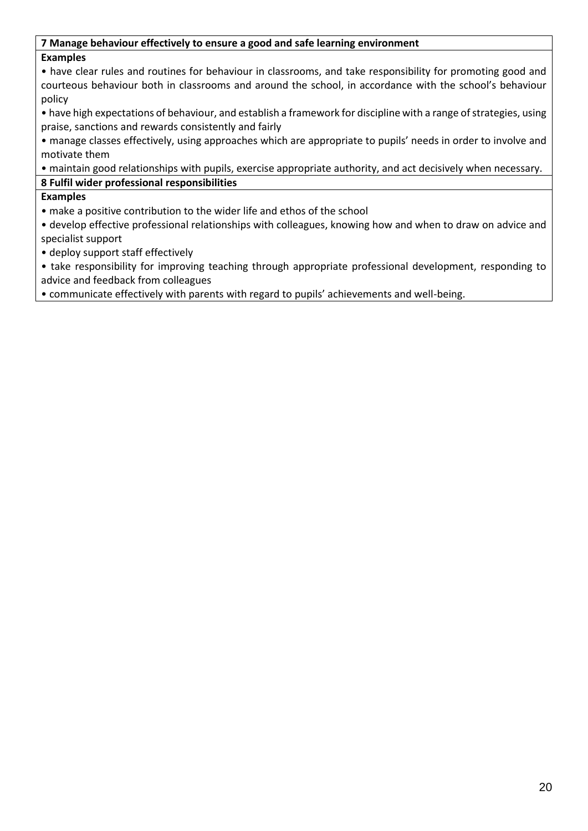# **7 Manage behaviour effectively to ensure a good and safe learning environment**

# **Examples**

• have clear rules and routines for behaviour in classrooms, and take responsibility for promoting good and courteous behaviour both in classrooms and around the school, in accordance with the school's behaviour policy

• have high expectations of behaviour, and establish a framework for discipline with a range of strategies, using praise, sanctions and rewards consistently and fairly

• manage classes effectively, using approaches which are appropriate to pupils' needs in order to involve and motivate them

• maintain good relationships with pupils, exercise appropriate authority, and act decisively when necessary.

# **8 Fulfil wider professional responsibilities**

# **Examples**

• make a positive contribution to the wider life and ethos of the school

• develop effective professional relationships with colleagues, knowing how and when to draw on advice and specialist support

• deploy support staff effectively

• take responsibility for improving teaching through appropriate professional development, responding to advice and feedback from colleagues

• communicate effectively with parents with regard to pupils' achievements and well-being.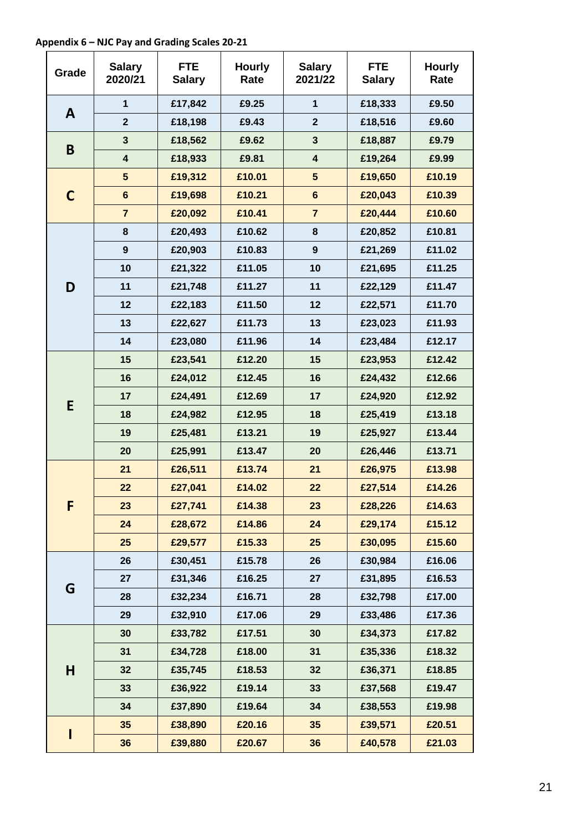**Appendix 6 – NJC Pay and Grading Scales 20-21**

| Grade        | <b>Salary</b><br>2020/21 | <b>FTE</b><br><b>Salary</b> | <b>Hourly</b><br>Rate | <b>Salary</b><br>2021/22 | <b>FTE</b><br><b>Salary</b> | <b>Hourly</b><br>Rate |
|--------------|--------------------------|-----------------------------|-----------------------|--------------------------|-----------------------------|-----------------------|
|              | $\mathbf{1}$             | £17,842                     | £9.25                 | $\mathbf{1}$             | £18,333                     | £9.50                 |
| $\mathbf{A}$ | $\overline{2}$           | £18,198                     | £9.43                 | $\mathbf{2}$             | £18,516                     | £9.60                 |
|              | $\mathbf{3}$             | £18,562                     | £9.62                 | 3                        | £18,887                     | £9.79                 |
| B            | $\overline{\mathbf{4}}$  | £18,933                     | £9.81                 | $\overline{\mathbf{4}}$  | £19,264                     | £9.99                 |
|              | $5\phantom{.0}$          | £19,312                     | £10.01                | $5\phantom{1}$           | £19,650                     | £10.19                |
| $\mathbf C$  | $6\phantom{1}$           | £19,698                     | £10.21                | $6\phantom{1}$           | £20,043                     | £10.39                |
|              | $\overline{7}$           | £20,092                     | £10.41                | $\overline{7}$           | £20,444                     | £10.60                |
|              | 8                        | £20,493                     | £10.62                | 8                        | £20,852                     | £10.81                |
|              | $\boldsymbol{9}$         | £20,903                     | £10.83                | $\boldsymbol{9}$         | £21,269                     | £11.02                |
|              | 10                       | £21,322                     | £11.05                | 10                       | £21,695                     | £11.25                |
| D            | 11                       | £21,748                     | £11.27                | 11                       | £22,129                     | £11.47                |
|              | 12                       | £22,183                     | £11.50                | 12                       | £22,571                     | £11.70                |
|              | 13                       | £22,627                     | £11.73                | 13                       | £23,023                     | £11.93                |
|              | 14                       | £23,080                     | £11.96                | 14                       | £23,484                     | £12.17                |
|              | 15                       | £23,541                     | £12.20                | 15                       | £23,953                     | £12.42                |
|              | 16                       | £24,012                     | £12.45                | 16                       | £24,432                     | £12.66                |
|              | 17                       | £24,491                     | £12.69                | 17                       | £24,920                     | £12.92                |
| E            | 18                       | £24,982                     | £12.95                | 18                       | £25,419                     | £13.18                |
|              | 19                       | £25,481                     | £13.21                | 19                       | £25,927                     | £13.44                |
|              | 20                       | £25,991                     | £13.47                | 20                       | £26,446                     | £13.71                |
|              | 21                       | £26,511                     | £13.74                | 21                       | £26,975                     | £13.98                |
|              | 22                       | £27,041                     | £14.02                | 22                       | £27,514                     | £14.26                |
| F            | 23                       | £27,741                     | £14.38                | 23                       | £28,226                     | £14.63                |
|              | 24                       | £28,672                     | £14.86                | 24                       | £29,174                     | £15.12                |
|              | 25                       | £29,577                     | £15.33                | 25                       | £30,095                     | £15.60                |
|              | 26                       | £30,451                     | £15.78                | 26                       | £30,984                     | £16.06                |
|              | 27                       | £31,346                     | £16.25                | 27                       | £31,895                     | £16.53                |
| G            | 28                       | £32,234                     | £16.71                | 28                       | £32,798                     | £17.00                |
|              | 29                       | £32,910                     | £17.06                | 29                       | £33,486                     | £17.36                |
|              | 30                       | £33,782                     | £17.51                | 30                       | £34,373                     | £17.82                |
|              | 31                       | £34,728                     | £18.00                | 31                       | £35,336                     | £18.32                |
| H            | 32                       | £35,745                     | £18.53                | 32                       | £36,371                     | £18.85                |
|              | 33                       | £36,922                     | £19.14                | 33                       | £37,568                     | £19.47                |
|              | 34                       | £37,890                     | £19.64                | 34                       | £38,553                     | £19.98                |
|              | 35                       | £38,890                     | £20.16                | 35                       | £39,571                     | £20.51                |
| I            | 36                       | £39,880                     | £20.67                | 36                       | £40,578                     | £21.03                |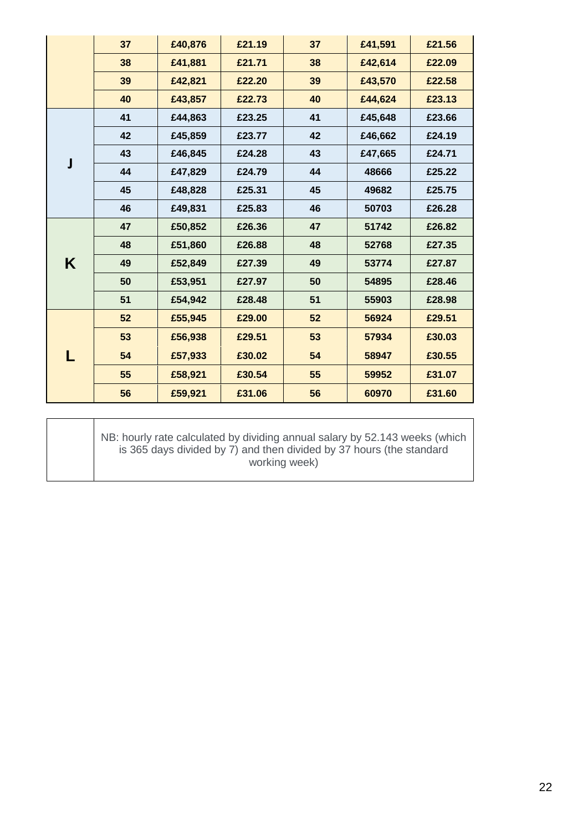|   | 37 | £40,876 | £21.19 | 37 | £41,591 | £21.56 |
|---|----|---------|--------|----|---------|--------|
|   | 38 | £41,881 | £21.71 | 38 | £42,614 | £22.09 |
|   | 39 | £42,821 | £22.20 | 39 | £43,570 | £22.58 |
|   | 40 | £43,857 | £22.73 | 40 | £44,624 | £23.13 |
|   | 41 | £44,863 | £23.25 | 41 | £45,648 | £23.66 |
|   | 42 | £45,859 | £23.77 | 42 | £46,662 | £24.19 |
|   | 43 | £46,845 | £24.28 | 43 | £47,665 | £24.71 |
| J | 44 | £47,829 | £24.79 | 44 | 48666   | £25.22 |
|   | 45 | £48,828 | £25.31 | 45 | 49682   | £25.75 |
|   | 46 | £49,831 | £25.83 | 46 | 50703   | £26.28 |
|   | 47 | £50,852 | £26.36 | 47 | 51742   | £26.82 |
|   | 48 | £51,860 | £26.88 | 48 | 52768   | £27.35 |
| K | 49 | £52,849 | £27.39 | 49 | 53774   | £27.87 |
|   | 50 | £53,951 | £27.97 | 50 | 54895   | £28.46 |
|   | 51 | £54,942 | £28.48 | 51 | 55903   | £28.98 |
|   | 52 | £55,945 | £29.00 | 52 | 56924   | £29.51 |
|   | 53 | £56,938 | £29.51 | 53 | 57934   | £30.03 |
|   | 54 | £57,933 | £30.02 | 54 | 58947   | £30.55 |
|   | 55 | £58,921 | £30.54 | 55 | 59952   | £31.07 |
|   | 56 | £59,921 | £31.06 | 56 | 60970   | £31.60 |

#### NB: hourly rate calculated by dividing annual salary by 52.143 weeks (which is 365 days divided by 7) and then divided by 37 hours (the standard working week)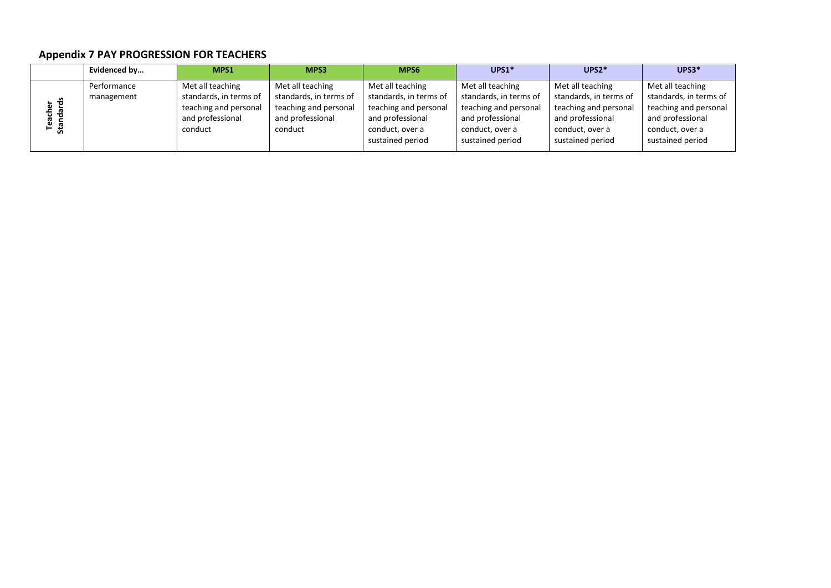# **Appendix 7 PAY PROGRESSION FOR TEACHERS**

|               | Evidenced by | MPS1                   | MPS3                   | MPS6                   | UPS1*                  | UPS2*                  | $UPS3*$                |
|---------------|--------------|------------------------|------------------------|------------------------|------------------------|------------------------|------------------------|
|               | Performance  | Met all teaching       | Met all teaching       | Met all teaching       | Met all teaching       | Met all teaching       | Met all teaching       |
|               | management   | standards, in terms of | standards, in terms of | standards, in terms of | standards, in terms of | standards, in terms of | standards, in terms of |
| cher<br>dards |              | teaching and personal  | teaching and personal  | teaching and personal  | teaching and personal  | teaching and personal  | teaching and personal  |
|               |              | and professional       | and professional       | and professional       | and professional       | and professional       | and professional       |
| Tea<br>Stan   |              | conduct                | conduct                | conduct, over a        | conduct, over a        | conduct, over a        | conduct, over a        |
|               |              |                        |                        | sustained period       | sustained period       | sustained period       | sustained period       |
|               |              |                        |                        |                        |                        |                        |                        |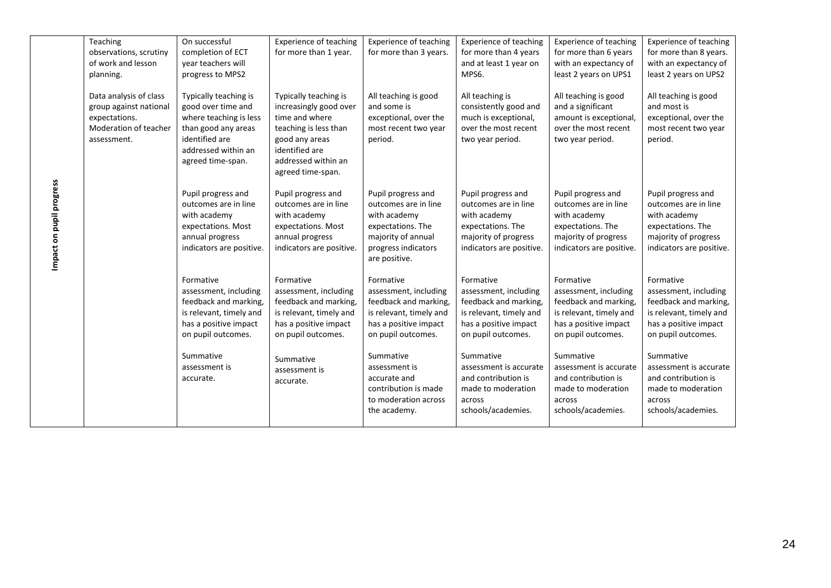| Teaching<br>observations, scrutiny<br>of work and lesson<br>planning.                                     | On successful<br>completion of ECT<br>vear teachers will<br>progress to MPS2                                                                               | <b>Experience of teaching</b><br>for more than 1 year.                                                                                                                     | <b>Experience of teaching</b><br>for more than 3 years.                                                                                       | <b>Experience of teaching</b><br>for more than 4 years<br>and at least 1 year on<br>MPS6.                                             | <b>Experience of teaching</b><br>for more than 6 years<br>with an expectancy of<br>least 2 years on UPS1                              | <b>Experience of teaching</b><br>for more than 8 years.<br>with an expectancy of<br>least 2 years on UPS2                             |
|-----------------------------------------------------------------------------------------------------------|------------------------------------------------------------------------------------------------------------------------------------------------------------|----------------------------------------------------------------------------------------------------------------------------------------------------------------------------|-----------------------------------------------------------------------------------------------------------------------------------------------|---------------------------------------------------------------------------------------------------------------------------------------|---------------------------------------------------------------------------------------------------------------------------------------|---------------------------------------------------------------------------------------------------------------------------------------|
| Data analysis of class<br>group against national<br>expectations.<br>Moderation of teacher<br>assessment. | Typically teaching is<br>good over time and<br>where teaching is less<br>than good any areas<br>identified are<br>addressed within an<br>agreed time-span. | Typically teaching is<br>increasingly good over<br>time and where<br>teaching is less than<br>good any areas<br>identified are<br>addressed within an<br>agreed time-span. | All teaching is good<br>and some is<br>exceptional, over the<br>most recent two year<br>period.                                               | All teaching is<br>consistently good and<br>much is exceptional,<br>over the most recent<br>two year period.                          | All teaching is good<br>and a significant<br>amount is exceptional,<br>over the most recent<br>two year period.                       | All teaching is good<br>and most is<br>exceptional, over the<br>most recent two year<br>period.                                       |
|                                                                                                           | Pupil progress and<br>outcomes are in line<br>with academy<br>expectations. Most<br>annual progress<br>indicators are positive.                            | Pupil progress and<br>outcomes are in line<br>with academy<br>expectations. Most<br>annual progress<br>indicators are positive.                                            | Pupil progress and<br>outcomes are in line<br>with academy<br>expectations. The<br>majority of annual<br>progress indicators<br>are positive. | Pupil progress and<br>outcomes are in line<br>with academy<br>expectations. The<br>majority of progress<br>indicators are positive.   | Pupil progress and<br>outcomes are in line<br>with academy<br>expectations. The<br>majority of progress<br>indicators are positive.   | Pupil progress and<br>outcomes are in line<br>with academy<br>expectations. The<br>majority of progress<br>indicators are positive.   |
|                                                                                                           | Formative<br>assessment, including<br>feedback and marking,<br>is relevant, timely and<br>has a positive impact<br>on pupil outcomes.                      | Formative<br>assessment, including<br>feedback and marking,<br>is relevant, timely and<br>has a positive impact<br>on pupil outcomes.                                      | Formative<br>assessment, including<br>feedback and marking,<br>is relevant, timely and<br>has a positive impact<br>on pupil outcomes.         | Formative<br>assessment, including<br>feedback and marking,<br>is relevant, timely and<br>has a positive impact<br>on pupil outcomes. | Formative<br>assessment, including<br>feedback and marking,<br>is relevant, timely and<br>has a positive impact<br>on pupil outcomes. | Formative<br>assessment, including<br>feedback and marking,<br>is relevant, timely and<br>has a positive impact<br>on pupil outcomes. |
|                                                                                                           | Summative<br>assessment is<br>accurate.                                                                                                                    | Summative<br>assessment is<br>accurate.                                                                                                                                    | Summative<br>assessment is<br>accurate and<br>contribution is made<br>to moderation across<br>the academy.                                    | Summative<br>assessment is accurate<br>and contribution is<br>made to moderation<br>across<br>schools/academies.                      | Summative<br>assessment is accurate<br>and contribution is<br>made to moderation<br>across<br>schools/academies.                      | Summative<br>assessment is accurate<br>and contribution is<br>made to moderation<br>across<br>schools/academies.                      |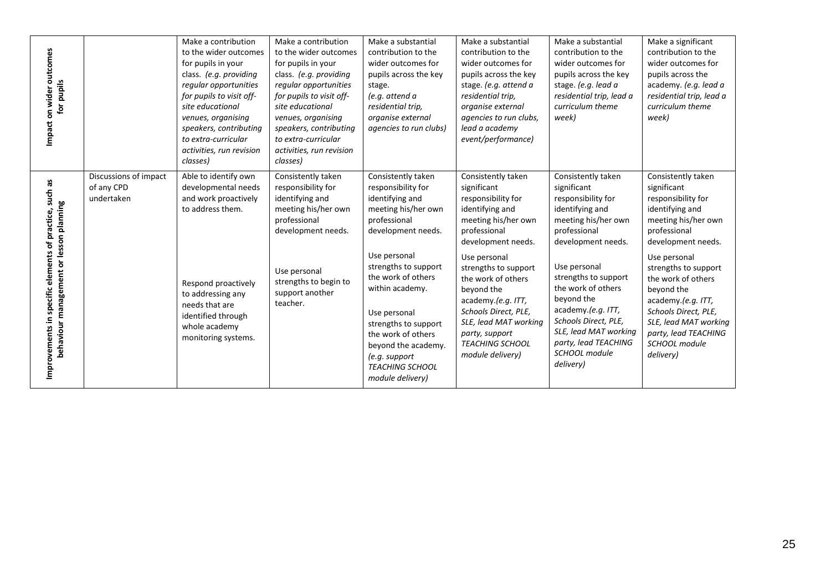| Impact on wider outcomes<br>for pupils                                                    |                                                   | Make a contribution<br>to the wider outcomes<br>for pupils in your<br>class. (e.g. providing<br>regular opportunities<br>for pupils to visit off-<br>site educational<br>venues, organising<br>speakers, contributing<br>to extra-curricular<br>activities, run revision<br>classes) | Make a contribution<br>to the wider outcomes<br>for pupils in your<br>class. (e.g. providing<br>regular opportunities<br>for pupils to visit off-<br>site educational<br>venues, organising<br>speakers, contributing<br>to extra-curricular<br>activities, run revision<br>classes) | Make a substantial<br>contribution to the<br>wider outcomes for<br>pupils across the key<br>stage.<br>(e.g. attend a<br>residential trip,<br>organise external<br>agencies to run clubs)                                          | Make a substantial<br>contribution to the<br>wider outcomes for<br>pupils across the key<br>stage. (e.g. attend a<br>residential trip,<br>organise external<br>agencies to run clubs,<br>lead a academy<br>event/performance) | Make a substantial<br>contribution to the<br>wider outcomes for<br>pupils across the key<br>stage. (e.g. lead a<br>residential trip, lead a<br>curriculum theme<br>week)                              | Make a significant<br>contribution to the<br>wider outcomes for<br>pupils across the<br>academy. (e.g. lead a<br>residential trip, lead a<br>curriculum theme<br>week)                                |
|-------------------------------------------------------------------------------------------|---------------------------------------------------|--------------------------------------------------------------------------------------------------------------------------------------------------------------------------------------------------------------------------------------------------------------------------------------|--------------------------------------------------------------------------------------------------------------------------------------------------------------------------------------------------------------------------------------------------------------------------------------|-----------------------------------------------------------------------------------------------------------------------------------------------------------------------------------------------------------------------------------|-------------------------------------------------------------------------------------------------------------------------------------------------------------------------------------------------------------------------------|-------------------------------------------------------------------------------------------------------------------------------------------------------------------------------------------------------|-------------------------------------------------------------------------------------------------------------------------------------------------------------------------------------------------------|
| such as                                                                                   | Discussions of impact<br>of any CPD<br>undertaken | Able to identify own<br>developmental needs<br>and work proactively<br>to address them.                                                                                                                                                                                              | Consistently taken<br>responsibility for<br>identifying and<br>meeting his/her own<br>professional<br>development needs.                                                                                                                                                             | Consistently taken<br>responsibility for<br>identifying and<br>meeting his/her own<br>professional<br>development needs.                                                                                                          | Consistently taken<br>significant<br>responsibility for<br>identifying and<br>meeting his/her own<br>professional<br>development needs.                                                                                       | Consistently taken<br>significant<br>responsibility for<br>identifying and<br>meeting his/her own<br>professional<br>development needs.                                                               | Consistently taken<br>significant<br>responsibility for<br>identifying and<br>meeting his/her own<br>professional<br>development needs.                                                               |
| behaviour management or lesson planning<br>Improvements in specific elements of practice, |                                                   | Respond proactively<br>to addressing any<br>needs that are<br>identified through<br>whole academy<br>monitoring systems.                                                                                                                                                             | Use personal<br>strengths to begin to<br>support another<br>teacher.                                                                                                                                                                                                                 | Use personal<br>strengths to support<br>the work of others<br>within academy.<br>Use personal<br>strengths to support<br>the work of others<br>beyond the academy.<br>(e.g. support<br><b>TEACHING SCHOOL</b><br>module delivery) | Use personal<br>strengths to support<br>the work of others<br>beyond the<br>academy.(e.g. ITT,<br>Schools Direct, PLE,<br>SLE, lead MAT working<br>party, support<br><b>TEACHING SCHOOL</b><br>module delivery)               | Use personal<br>strengths to support<br>the work of others<br>beyond the<br>academy.(e.g. ITT,<br>Schools Direct, PLE,<br>SLE, lead MAT working<br>party, lead TEACHING<br>SCHOOL module<br>delivery) | Use personal<br>strengths to support<br>the work of others<br>beyond the<br>academy.(e.g. ITT,<br>Schools Direct, PLE,<br>SLE, lead MAT working<br>party, lead TEACHING<br>SCHOOL module<br>delivery) |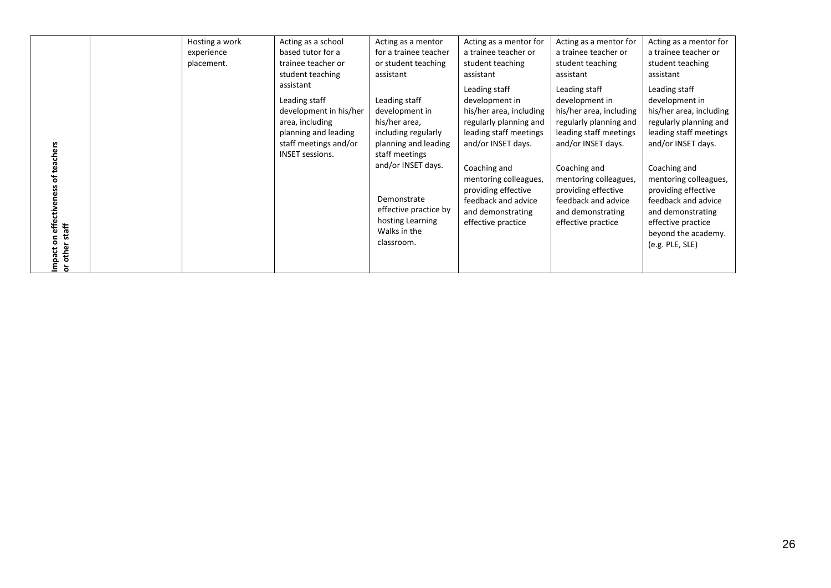|                                                | Hosting a work | Acting as a school                                                                                                                                 | Acting as a mentor                                                                                                                                                                                                                | Acting as a mentor for                                                                                                                                                                                                                                                 | Acting as a mentor for                                                                                                                                                                                                                                                 | Acting as a mentor for                                                                                                                                                                                                                                                                                           |
|------------------------------------------------|----------------|----------------------------------------------------------------------------------------------------------------------------------------------------|-----------------------------------------------------------------------------------------------------------------------------------------------------------------------------------------------------------------------------------|------------------------------------------------------------------------------------------------------------------------------------------------------------------------------------------------------------------------------------------------------------------------|------------------------------------------------------------------------------------------------------------------------------------------------------------------------------------------------------------------------------------------------------------------------|------------------------------------------------------------------------------------------------------------------------------------------------------------------------------------------------------------------------------------------------------------------------------------------------------------------|
|                                                | experience     | based tutor for a                                                                                                                                  | for a trainee teacher                                                                                                                                                                                                             | a trainee teacher or                                                                                                                                                                                                                                                   | a trainee teacher or                                                                                                                                                                                                                                                   | a trainee teacher or                                                                                                                                                                                                                                                                                             |
|                                                | placement.     | trainee teacher or                                                                                                                                 | or student teaching                                                                                                                                                                                                               | student teaching                                                                                                                                                                                                                                                       | student teaching                                                                                                                                                                                                                                                       | student teaching                                                                                                                                                                                                                                                                                                 |
|                                                |                | student teaching                                                                                                                                   | assistant                                                                                                                                                                                                                         | assistant                                                                                                                                                                                                                                                              | assistant                                                                                                                                                                                                                                                              | assistant                                                                                                                                                                                                                                                                                                        |
| teachers<br>effectiv<br>staff<br>other<br>pact |                | assistant<br>Leading staff<br>development in his/her<br>area, including<br>planning and leading<br>staff meetings and/or<br><b>INSET sessions.</b> | Leading staff<br>development in<br>his/her area,<br>including regularly<br>planning and leading<br>staff meetings<br>and/or INSET days.<br>Demonstrate<br>effective practice by<br>hosting Learning<br>Walks in the<br>classroom. | Leading staff<br>development in<br>his/her area, including<br>regularly planning and<br>leading staff meetings<br>and/or INSET days.<br>Coaching and<br>mentoring colleagues,<br>providing effective<br>feedback and advice<br>and demonstrating<br>effective practice | Leading staff<br>development in<br>his/her area, including<br>regularly planning and<br>leading staff meetings<br>and/or INSET days.<br>Coaching and<br>mentoring colleagues,<br>providing effective<br>feedback and advice<br>and demonstrating<br>effective practice | Leading staff<br>development in<br>his/her area, including<br>regularly planning and<br>leading staff meetings<br>and/or INSET days.<br>Coaching and<br>mentoring colleagues,<br>providing effective<br>feedback and advice<br>and demonstrating<br>effective practice<br>beyond the academy.<br>(e.g. PLE, SLE) |
| ਠ                                              |                |                                                                                                                                                    |                                                                                                                                                                                                                                   |                                                                                                                                                                                                                                                                        |                                                                                                                                                                                                                                                                        |                                                                                                                                                                                                                                                                                                                  |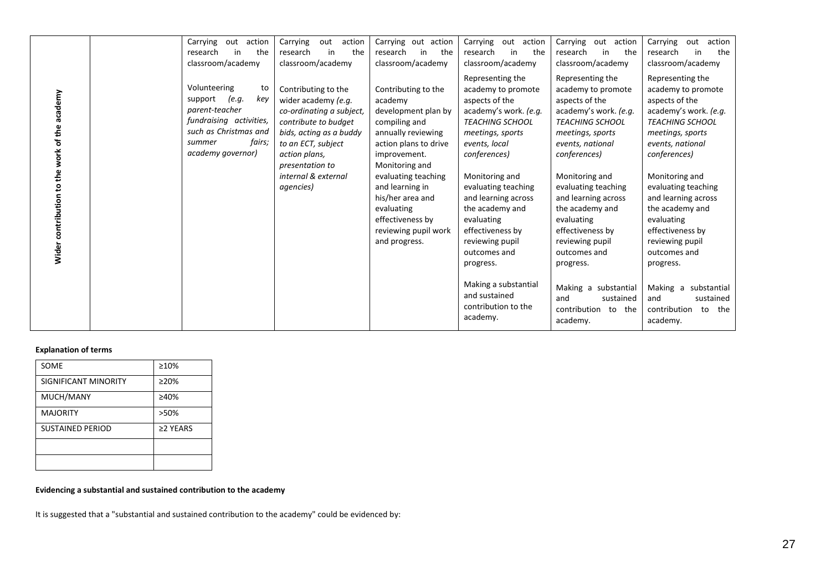|                                               | Carrying<br>out<br>action                                                                                                                                                         | Carrying<br>action<br>out                                                                                                                                                                                                                    | Carrying out action                                                                                                                                                                                                                                                                                                   | Carrying<br>out<br>action                                                                                                                                                                                                                                                                                                     | Carrying<br>action<br>out                                                                                                                                                                                                                                                                                                        | Carrying<br>action<br>out                                                                                                                                                                                                                                                                                                        |
|-----------------------------------------------|-----------------------------------------------------------------------------------------------------------------------------------------------------------------------------------|----------------------------------------------------------------------------------------------------------------------------------------------------------------------------------------------------------------------------------------------|-----------------------------------------------------------------------------------------------------------------------------------------------------------------------------------------------------------------------------------------------------------------------------------------------------------------------|-------------------------------------------------------------------------------------------------------------------------------------------------------------------------------------------------------------------------------------------------------------------------------------------------------------------------------|----------------------------------------------------------------------------------------------------------------------------------------------------------------------------------------------------------------------------------------------------------------------------------------------------------------------------------|----------------------------------------------------------------------------------------------------------------------------------------------------------------------------------------------------------------------------------------------------------------------------------------------------------------------------------|
|                                               | in<br>the<br>research                                                                                                                                                             | the<br>research<br>in                                                                                                                                                                                                                        | research<br>the<br>in                                                                                                                                                                                                                                                                                                 | the<br>in<br>research                                                                                                                                                                                                                                                                                                         | in<br>the<br>research                                                                                                                                                                                                                                                                                                            | the<br>research<br>in                                                                                                                                                                                                                                                                                                            |
|                                               |                                                                                                                                                                                   |                                                                                                                                                                                                                                              |                                                                                                                                                                                                                                                                                                                       |                                                                                                                                                                                                                                                                                                                               |                                                                                                                                                                                                                                                                                                                                  |                                                                                                                                                                                                                                                                                                                                  |
| Wider contribution to the work of the academy | classroom/academy<br>Volunteering<br>to<br>(e.q.<br>support<br>key<br>parent-teacher<br>fundraising activities,<br>such as Christmas and<br>fairs;<br>summer<br>academy governor) | classroom/academy<br>Contributing to the<br>wider academy (e.g.<br>co-ordinating a subject,<br>contribute to budget<br>bids, acting as a buddy<br>to an ECT, subject<br>action plans,<br>presentation to<br>internal & external<br>agencies) | classroom/academy<br>Contributing to the<br>academy<br>development plan by<br>compiling and<br>annually reviewing<br>action plans to drive<br>improvement.<br>Monitoring and<br>evaluating teaching<br>and learning in<br>his/her area and<br>evaluating<br>effectiveness by<br>reviewing pupil work<br>and progress. | classroom/academy<br>Representing the<br>academy to promote<br>aspects of the<br>academy's work. (e.g.<br><b>TEACHING SCHOOL</b><br>meetings, sports<br>events, local<br>conferences)<br>Monitoring and<br>evaluating teaching<br>and learning across<br>the academy and<br>evaluating<br>effectiveness by<br>reviewing pupil | classroom/academy<br>Representing the<br>academy to promote<br>aspects of the<br>academy's work. (e.g.<br><b>TEACHING SCHOOL</b><br>meetings, sports<br>events, national<br>conferences)<br>Monitoring and<br>evaluating teaching<br>and learning across<br>the academy and<br>evaluating<br>effectiveness by<br>reviewing pupil | classroom/academy<br>Representing the<br>academy to promote<br>aspects of the<br>academy's work. (e.g.<br><b>TEACHING SCHOOL</b><br>meetings, sports<br>events, national<br>conferences)<br>Monitoring and<br>evaluating teaching<br>and learning across<br>the academy and<br>evaluating<br>effectiveness by<br>reviewing pupil |
|                                               |                                                                                                                                                                                   |                                                                                                                                                                                                                                              |                                                                                                                                                                                                                                                                                                                       | outcomes and                                                                                                                                                                                                                                                                                                                  | outcomes and                                                                                                                                                                                                                                                                                                                     | outcomes and                                                                                                                                                                                                                                                                                                                     |
|                                               |                                                                                                                                                                                   |                                                                                                                                                                                                                                              |                                                                                                                                                                                                                                                                                                                       | progress.                                                                                                                                                                                                                                                                                                                     | progress.                                                                                                                                                                                                                                                                                                                        | progress.                                                                                                                                                                                                                                                                                                                        |
|                                               |                                                                                                                                                                                   |                                                                                                                                                                                                                                              |                                                                                                                                                                                                                                                                                                                       | Making a substantial<br>and sustained<br>contribution to the<br>academy.                                                                                                                                                                                                                                                      | Making a substantial<br>and<br>sustained<br>contribution to the<br>academy.                                                                                                                                                                                                                                                      | Making a<br>substantial<br>sustained<br>and<br>contribution<br>to the<br>academy.                                                                                                                                                                                                                                                |

#### **Explanation of terms**

| SOME                    | $\geq 10\%$  |
|-------------------------|--------------|
| SIGNIFICANT MINORITY    | $\geq$ 20%   |
| MUCH/MANY               | ≥40%         |
| <b>MAJORITY</b>         | >50%         |
| <b>SUSTAINED PERIOD</b> | $\geq$ YEARS |
|                         |              |
|                         |              |

#### **Evidencing a substantial and sustained contribution to the academy**

It is suggested that a "substantial and sustained contribution to the academy" could be evidenced by: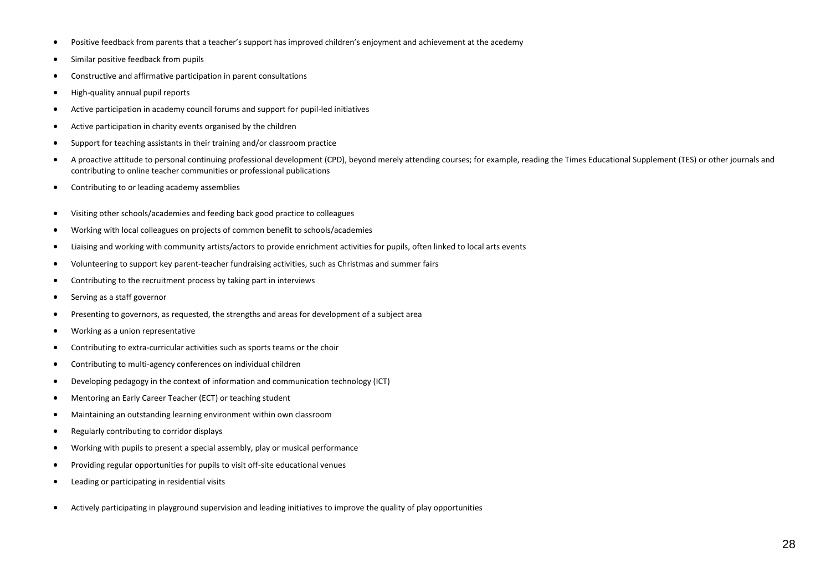- Positive feedback from parents that a teacher's support has improved children's enjoyment and achievement at the acedemy
- Similar positive feedback from pupils
- Constructive and affirmative participation in parent consultations
- High-quality annual pupil reports
- Active participation in academy council forums and support for pupil-led initiatives
- Active participation in charity events organised by the children
- Support for teaching assistants in their training and/or classroom practice
- A proactive attitude to personal continuing professional development (CPD), beyond merely attending courses; for example, reading the Times Educational Supplement (TES) or other journals and contributing to online teacher communities or professional publications
- Contributing to or leading academy assemblies
- Visiting other schools/academies and feeding back good practice to colleagues
- Working with local colleagues on projects of common benefit to schools/academies
- Liaising and working with community artists/actors to provide enrichment activities for pupils, often linked to local arts events
- Volunteering to support key parent-teacher fundraising activities, such as Christmas and summer fairs
- Contributing to the recruitment process by taking part in interviews
- Serving as a staff governor
- Presenting to governors, as requested, the strengths and areas for development of a subject area
- Working as a union representative
- Contributing to extra-curricular activities such as sports teams or the choir
- Contributing to multi-agency conferences on individual children
- Developing pedagogy in the context of information and communication technology (ICT)
- Mentoring an Early Career Teacher (ECT) or teaching student
- Maintaining an outstanding learning environment within own classroom
- Regularly contributing to corridor displays
- Working with pupils to present a special assembly, play or musical performance
- Providing regular opportunities for pupils to visit off-site educational venues
- Leading or participating in residential visits
- Actively participating in playground supervision and leading initiatives to improve the quality of play opportunities